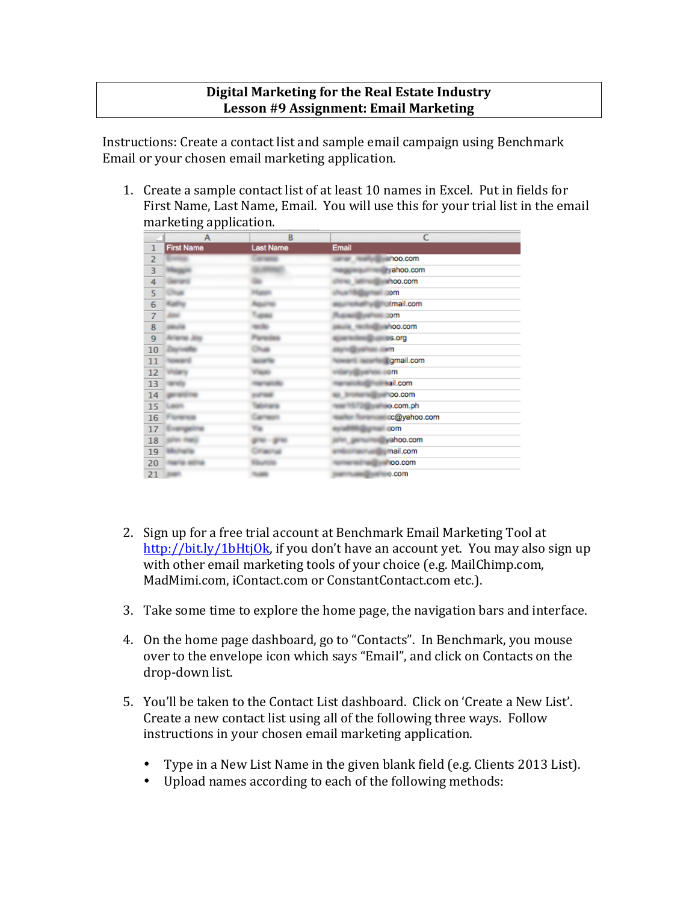## **Digital Marketing for the Real Estate Industry Lesson #9 Assignment: Email Marketing**

Instructions: Create a contact list and sample email campaign using Benchmark Email or your chosen email marketing application.

1. Create a sample contact list of at least 10 names in Excel. Put in fields for First Name, Last Name, Email. You will use this for your trial list in the email marketing application.

|                         | A                 | B                | c              |
|-------------------------|-------------------|------------------|----------------|
| $\mathbf{1}$            | <b>First Name</b> | <b>Last Name</b> | Email          |
| $\overline{2}$          |                   |                  | hoo.com        |
| $\overline{\mathbf{3}}$ |                   |                  | ahoo.com       |
| 4                       |                   |                  | hoo.com        |
| 5                       |                   |                  | <b>som</b>     |
| $\overline{6}$          |                   |                  | mail.com       |
| $\overline{7}$          |                   |                  | <b>com</b>     |
| 8                       |                   |                  | <b>NOO.COM</b> |
| 9                       |                   |                  | 3.org          |
| 10                      |                   |                  | iнn            |
| 11                      |                   |                  | #gmail.com     |
| 12                      |                   |                  | om             |
| 13                      |                   |                  | ail.com        |
| 14                      |                   |                  | oo.com         |
| 15                      |                   |                  | o.com.ph       |
| 16                      |                   |                  | c@yahoo.com    |
| 17                      |                   |                  | com            |
| 18                      |                   |                  | ahoo.com       |
| 19                      |                   |                  | nail.com       |
| 20                      |                   |                  | loo.com        |
| 21                      |                   |                  | o.com          |

- 2. Sign up for a free trial account at Benchmark Email Marketing Tool at http://bit.ly/1bHtjOk, if you don't have an account yet. You may also sign up with other email marketing tools of your choice (e.g. MailChimp.com, MadMimi.com, iContact.com or ConstantContact.com etc.).
- 3. Take some time to explore the home page, the navigation bars and interface.
- 4. On the home page dashboard, go to "Contacts". In Benchmark, you mouse over to the envelope icon which says "Email", and click on Contacts on the drop-down list.
- 5. You'll be taken to the Contact List dashboard. Click on 'Create a New List'. Create a new contact list using all of the following three ways. Follow instructions in your chosen email marketing application.
	- Type in a New List Name in the given blank field (e.g. Clients 2013 List).
	- Upload names according to each of the following methods: